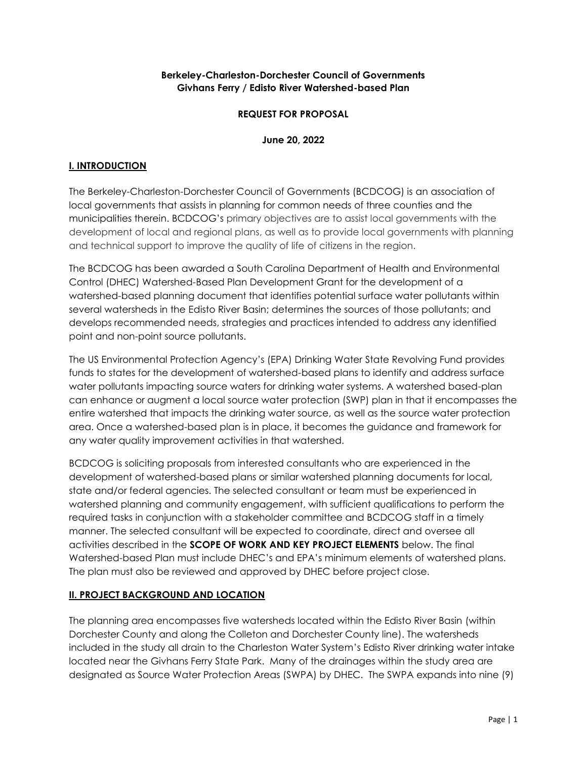### **Berkeley-Charleston-Dorchester Council of Governments Givhans Ferry / Edisto River Watershed-based Plan**

### **REQUEST FOR PROPOSAL**

**June 20, 2022**

# **I. INTRODUCTION**

The Berkeley-Charleston-Dorchester Council of Governments (BCDCOG) is an association of local governments that assists in planning for common needs of three counties and the municipalities therein. BCDCOG's primary objectives are to assist local governments with the development of local and regional plans, as well as to provide local governments with planning and technical support to improve the quality of life of citizens in the region.

The BCDCOG has been awarded a South Carolina Department of Health and Environmental Control (DHEC) Watershed-Based Plan Development Grant for the development of a watershed-based planning document that identifies potential surface water pollutants within several watersheds in the Edisto River Basin; determines the sources of those pollutants; and develops recommended needs, strategies and practices intended to address any identified point and non-point source pollutants.

The US Environmental Protection Agency's (EPA) Drinking Water State Revolving Fund provides funds to states for the development of watershed-based plans to identify and address surface water pollutants impacting source waters for drinking water systems. A watershed based-plan can enhance or augment a local source water protection (SWP) plan in that it encompasses the entire watershed that impacts the drinking water source, as well as the source water protection area. Once a watershed-based plan is in place, it becomes the guidance and framework for any water quality improvement activities in that watershed.

BCDCOG is soliciting proposals from interested consultants who are experienced in the development of watershed-based plans or similar watershed planning documents for local, state and/or federal agencies. The selected consultant or team must be experienced in watershed planning and community engagement, with sufficient qualifications to perform the required tasks in conjunction with a stakeholder committee and BCDCOG staff in a timely manner. The selected consultant will be expected to coordinate, direct and oversee all activities described in the **SCOPE OF WORK AND KEY PROJECT ELEMENTS** below. The final Watershed-based Plan must include DHEC's and EPA's minimum elements of watershed plans. The plan must also be reviewed and approved by DHEC before project close.

## **II. PROJECT BACKGROUND AND LOCATION**

The planning area encompasses five watersheds located within the Edisto River Basin (within Dorchester County and along the Colleton and Dorchester County line). The watersheds included in the study all drain to the Charleston Water System's Edisto River drinking water intake located near the Givhans Ferry State Park. Many of the drainages within the study area are designated as Source Water Protection Areas (SWPA) by DHEC. The SWPA expands into nine (9)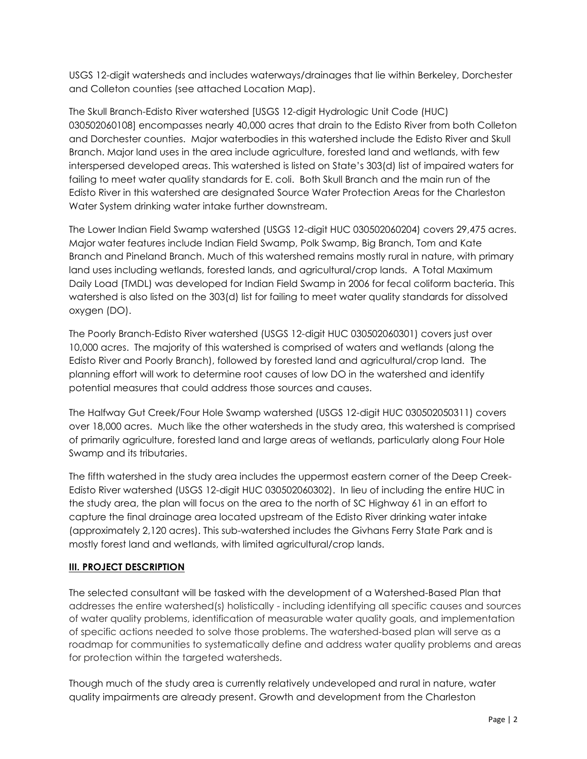USGS 12-digit watersheds and includes waterways/drainages that lie within Berkeley, Dorchester and Colleton counties (see attached Location Map).

The Skull Branch-Edisto River watershed [USGS 12-digit Hydrologic Unit Code (HUC) 030502060108] encompasses nearly 40,000 acres that drain to the Edisto River from both Colleton and Dorchester counties. Major waterbodies in this watershed include the Edisto River and Skull Branch. Major land uses in the area include agriculture, forested land and wetlands, with few interspersed developed areas. This watershed is listed on State's 303(d) list of impaired waters for failing to meet water quality standards for E. coli. Both Skull Branch and the main run of the Edisto River in this watershed are designated Source Water Protection Areas for the Charleston Water System drinking water intake further downstream.

The Lower Indian Field Swamp watershed (USGS 12-digit HUC 030502060204) covers 29,475 acres. Major water features include Indian Field Swamp, Polk Swamp, Big Branch, Tom and Kate Branch and Pineland Branch. Much of this watershed remains mostly rural in nature, with primary land uses including wetlands, forested lands, and agricultural/crop lands. A Total Maximum Daily Load (TMDL) was developed for Indian Field Swamp in 2006 for fecal coliform bacteria. This watershed is also listed on the 303(d) list for failing to meet water quality standards for dissolved oxygen (DO).

The Poorly Branch-Edisto River watershed (USGS 12-digit HUC 030502060301) covers just over 10,000 acres. The majority of this watershed is comprised of waters and wetlands (along the Edisto River and Poorly Branch), followed by forested land and agricultural/crop land. The planning effort will work to determine root causes of low DO in the watershed and identify potential measures that could address those sources and causes.

The Halfway Gut Creek/Four Hole Swamp watershed (USGS 12-digit HUC 030502050311) covers over 18,000 acres. Much like the other watersheds in the study area, this watershed is comprised of primarily agriculture, forested land and large areas of wetlands, particularly along Four Hole Swamp and its tributaries.

The fifth watershed in the study area includes the uppermost eastern corner of the Deep Creek-Edisto River watershed (USGS 12-digit HUC 030502060302). In lieu of including the entire HUC in the study area, the plan will focus on the area to the north of SC Highway 61 in an effort to capture the final drainage area located upstream of the Edisto River drinking water intake (approximately 2,120 acres). This sub-watershed includes the Givhans Ferry State Park and is mostly forest land and wetlands, with limited agricultural/crop lands.

## **III. PROJECT DESCRIPTION**

The selected consultant will be tasked with the development of a Watershed-Based Plan that addresses the entire watershed(s) holistically - including identifying all specific causes and sources of water quality problems, identification of measurable water quality goals, and implementation of specific actions needed to solve those problems. The watershed-based plan will serve as a roadmap for communities to systematically define and address water quality problems and areas for protection within the targeted watersheds.

Though much of the study area is currently relatively undeveloped and rural in nature, water quality impairments are already present. Growth and development from the Charleston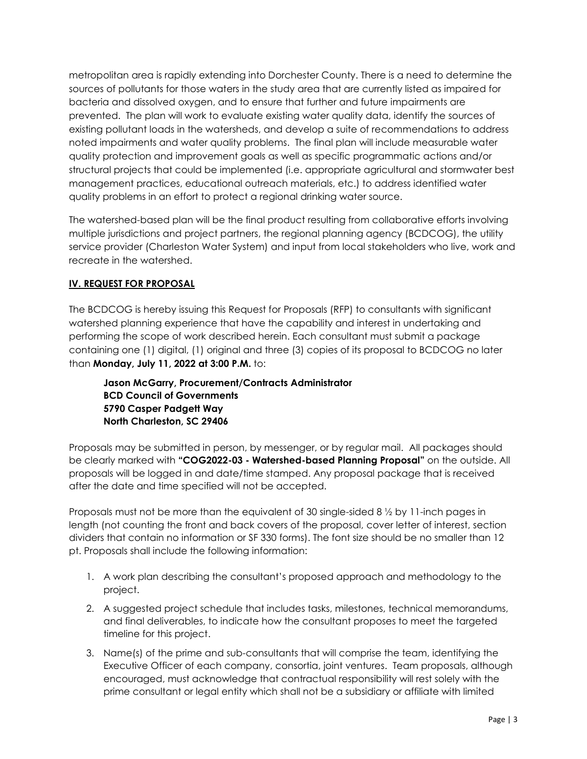metropolitan area is rapidly extending into Dorchester County. There is a need to determine the sources of pollutants for those waters in the study area that are currently listed as impaired for bacteria and dissolved oxygen, and to ensure that further and future impairments are prevented. The plan will work to evaluate existing water quality data, identify the sources of existing pollutant loads in the watersheds, and develop a suite of recommendations to address noted impairments and water quality problems. The final plan will include measurable water quality protection and improvement goals as well as specific programmatic actions and/or structural projects that could be implemented (i.e. appropriate agricultural and stormwater best management practices, educational outreach materials, etc.) to address identified water quality problems in an effort to protect a regional drinking water source.

The watershed-based plan will be the final product resulting from collaborative efforts involving multiple jurisdictions and project partners, the regional planning agency (BCDCOG), the utility service provider (Charleston Water System) and input from local stakeholders who live, work and recreate in the watershed.

## **IV. REQUEST FOR PROPOSAL**

The BCDCOG is hereby issuing this Request for Proposals (RFP) to consultants with significant watershed planning experience that have the capability and interest in undertaking and performing the scope of work described herein. Each consultant must submit a package containing one (1) digital, (1) original and three (3) copies of its proposal to BCDCOG no later than **Monday, July 11, 2022 at 3:00 P.M.** to:

**Jason McGarry, Procurement/Contracts Administrator BCD Council of Governments 5790 Casper Padgett Way North Charleston, SC 29406**

Proposals may be submitted in person, by messenger, or by regular mail. All packages should be clearly marked with **"COG2022-03 - Watershed-based Planning Proposal"** on the outside. All proposals will be logged in and date/time stamped. Any proposal package that is received after the date and time specified will not be accepted.

Proposals must not be more than the equivalent of 30 single-sided 8 ½ by 11-inch pages in length (not counting the front and back covers of the proposal, cover letter of interest, section dividers that contain no information or SF 330 forms). The font size should be no smaller than 12 pt. Proposals shall include the following information:

- 1. A work plan describing the consultant's proposed approach and methodology to the project.
- 2. A suggested project schedule that includes tasks, milestones, technical memorandums, and final deliverables, to indicate how the consultant proposes to meet the targeted timeline for this project.
- 3. Name(s) of the prime and sub-consultants that will comprise the team, identifying the Executive Officer of each company, consortia, joint ventures. Team proposals, although encouraged, must acknowledge that contractual responsibility will rest solely with the prime consultant or legal entity which shall not be a subsidiary or affiliate with limited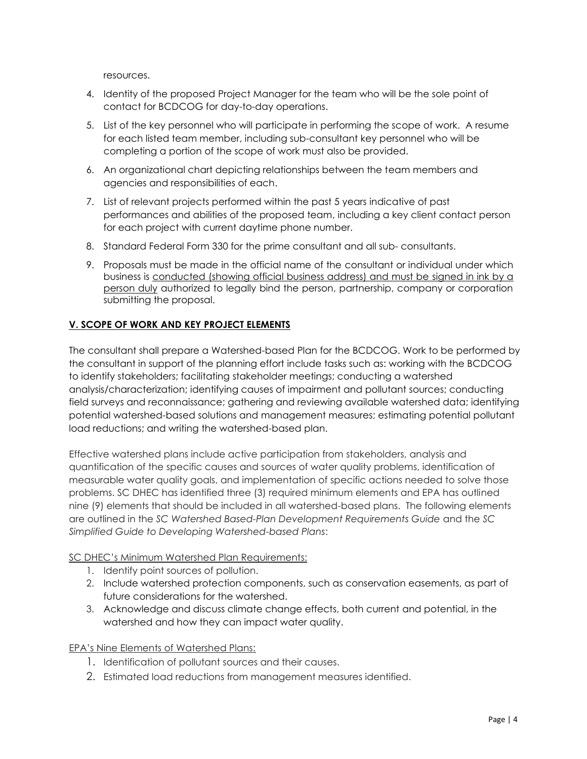resources.

- 4. Identity of the proposed Project Manager for the team who will be the sole point of contact for BCDCOG for day-to-day operations.
- 5. List of the key personnel who will participate in performing the scope of work. A resume for each listed team member, including sub-consultant key personnel who will be completing a portion of the scope of work must also be provided.
- 6. An organizational chart depicting relationships between the team members and agencies and responsibilities of each.
- 7. List of relevant projects performed within the past 5 years indicative of past performances and abilities of the proposed team, including a key client contact person for each project with current daytime phone number.
- 8. Standard Federal Form 330 for the prime consultant and all sub- consultants.
- 9. Proposals must be made in the official name of the consultant or individual under which business is conducted (showing official business address) and must be signed in ink by a person duly authorized to legally bind the person, partnership, company or corporation submitting the proposal.

# **V. SCOPE OF WORK AND KEY PROJECT ELEMENTS**

The consultant shall prepare a Watershed-based Plan for the BCDCOG. Work to be performed by the consultant in support of the planning effort include tasks such as: working with the BCDCOG to identify stakeholders; facilitating stakeholder meetings; conducting a watershed analysis/characterization; identifying causes of impairment and pollutant sources; conducting field surveys and reconnaissance; gathering and reviewing available watershed data; identifying potential watershed-based solutions and management measures; estimating potential pollutant load reductions; and writing the watershed-based plan.

Effective watershed plans include active participation from stakeholders, analysis and quantification of the specific causes and sources of water quality problems, identification of measurable water quality goals, and implementation of specific actions needed to solve those problems. SC DHEC has identified three (3) required minimum elements and EPA has outlined nine (9) elements that should be included in all watershed-based plans. The following elements are outlined in the *SC Watershed Based-Plan Development Requirements Guide* and the *SC Simplified Guide to Developing Watershed-based Plans*:

## SC DHEC's Minimum Watershed Plan Requirements:

- 1. Identify point sources of pollution.
- 2. Include watershed protection components, such as conservation easements, as part of future considerations for the watershed.
- 3. Acknowledge and discuss climate change effects, both current and potential, in the watershed and how they can impact water quality.

## EPA's Nine Elements of Watershed Plans:

- 1. Identification of pollutant sources and their causes.
- 2. Estimated load reductions from management measures identified.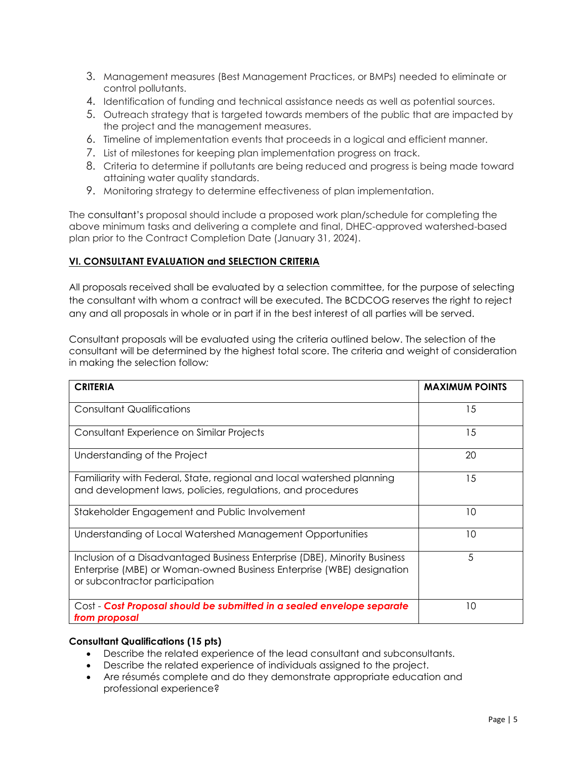- 3. Management measures (Best Management Practices, or BMPs) needed to eliminate or control pollutants.
- 4. Identification of funding and technical assistance needs as well as potential sources.
- 5. Outreach strategy that is targeted towards members of the public that are impacted by the project and the management measures.
- 6. Timeline of implementation events that proceeds in a logical and efficient manner.
- 7. List of milestones for keeping plan implementation progress on track.
- 8. Criteria to determine if pollutants are being reduced and progress is being made toward attaining water quality standards.
- 9. Monitoring strategy to determine effectiveness of plan implementation.

The consultant's proposal should include a proposed work plan/schedule for completing the above minimum tasks and delivering a complete and final, DHEC-approved watershed-based plan prior to the Contract Completion Date (January 31, 2024).

### **VI. CONSULTANT EVALUATION and SELECTION CRITERIA**

All proposals received shall be evaluated by a selection committee, for the purpose of selecting the consultant with whom a contract will be executed. The BCDCOG reserves the right to reject any and all proposals in whole or in part if in the best interest of all parties will be served.

Consultant proposals will be evaluated using the criteria outlined below. The selection of the consultant will be determined by the highest total score. The criteria and weight of consideration in making the selection follow*:*

| <b>CRITERIA</b>                                                                                                                                                                      | <b>MAXIMUM POINTS</b> |
|--------------------------------------------------------------------------------------------------------------------------------------------------------------------------------------|-----------------------|
| <b>Consultant Qualifications</b>                                                                                                                                                     | 15                    |
| Consultant Experience on Similar Projects                                                                                                                                            | 15                    |
| Understanding of the Project                                                                                                                                                         | 20                    |
| Familiarity with Federal, State, regional and local watershed planning<br>and development laws, policies, regulations, and procedures                                                | 15                    |
| Stakeholder Engagement and Public Involvement                                                                                                                                        | 10                    |
| Understanding of Local Watershed Management Opportunities                                                                                                                            | 10                    |
| Inclusion of a Disadvantaged Business Enterprise (DBE), Minority Business<br>Enterprise (MBE) or Woman-owned Business Enterprise (WBE) designation<br>or subcontractor participation | 5                     |
| Cost - Cost Proposal should be submitted in a sealed envelope separate<br>from proposal                                                                                              | 10                    |

#### **Consultant Qualifications (15 pts)**

- Describe the related experience of the lead consultant and subconsultants.
- Describe the related experience of individuals assigned to the project.
- Are résumés complete and do they demonstrate appropriate education and professional experience?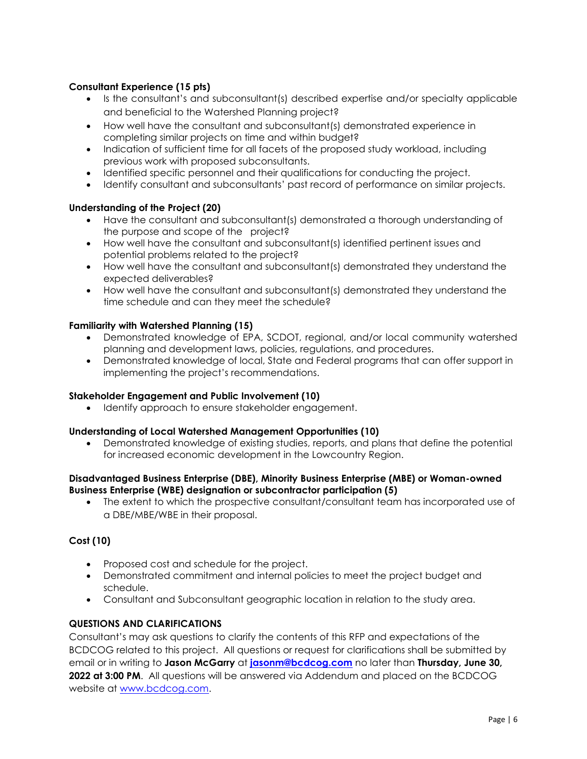## **Consultant Experience (15 pts)**

- Is the consultant's and subconsultant(s) described expertise and/or specialty applicable and beneficial to the Watershed Planning project?
- How well have the consultant and subconsultant(s) demonstrated experience in completing similar projects on time and within budget?
- Indication of sufficient time for all facets of the proposed study workload, including previous work with proposed subconsultants.
- Identified specific personnel and their qualifications for conducting the project.
- Identify consultant and subconsultants' past record of performance on similar projects.

### **Understanding of the Project (20)**

- Have the consultant and subconsultant(s) demonstrated a thorough understanding of the purpose and scope of the project?
- How well have the consultant and subconsultant(s) identified pertinent issues and potential problems related to the project?
- How well have the consultant and subconsultant(s) demonstrated they understand the expected deliverables?
- How well have the consultant and subconsultant(s) demonstrated they understand the time schedule and can they meet the schedule?

#### **Familiarity with Watershed Planning (15)**

- Demonstrated knowledge of EPA, SCDOT, regional, and/or local community watershed planning and development laws, policies, regulations, and procedures.
- Demonstrated knowledge of local, State and Federal programs that can offer support in implementing the project's recommendations.

#### **Stakeholder Engagement and Public Involvement (10)**

• Identify approach to ensure stakeholder engagement.

#### **Understanding of Local Watershed Management Opportunities (10)**

• Demonstrated knowledge of existing studies, reports, and plans that define the potential for increased economic development in the Lowcountry Region.

#### **Disadvantaged Business Enterprise (DBE), Minority Business Enterprise (MBE) or Woman-owned Business Enterprise (WBE) designation or subcontractor participation (5)**

• The extent to which the prospective consultant/consultant team has incorporated use of a DBE/MBE/WBE in their proposal.

#### **Cost (10)**

- Proposed cost and schedule for the project.
- Demonstrated commitment and internal policies to meet the project budget and schedule.
- Consultant and Subconsultant geographic location in relation to the study area.

#### **QUESTIONS AND CLARIFICATIONS**

Consultant's may ask questions to clarify the contents of this RFP and expectations of the BCDCOG related to this project. All questions or request for clarifications shall be submitted by email or in writing to **Jason McGarry** at **[jasonm@bcdcog.com](mailto:jasonm@bcdcog.com)** no later than **Thursday, June 30, 2022 at 3:00 PM.** All questions will be answered via Addendum and placed on the BCDCOG website at [www.bcdcog.com.](http://www.bcdcog.com/)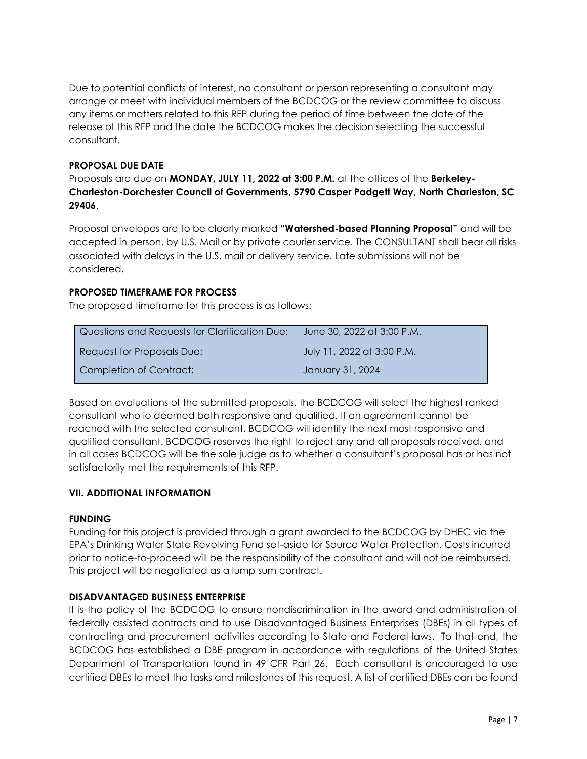Due to potential conflicts of interest, no consultant or person representing a consultant may arrange or meet with individual members of the BCDCOG or the review committee to discuss any items or matters related to this RFP during the period of time between the date of the release of this RFP and the date the BCDCOG makes the decision selecting the successful consultant.

# **PROPOSAL DUE DATE**

Proposals are due on **MONDAY, JULY 11, 2022 at 3:00 P.M.** at the offices of the **Berkeley-Charleston-Dorchester Council of Governments, 5790 Casper Padgett Way, North Charleston, SC 29406**.

Proposal envelopes are to be clearly marked **"Watershed-based Planning Proposal"** and will be accepted in person, by U.S. Mail or by private courier service. The CONSULTANT shall bear all risks associated with delays in the U.S. mail or delivery service. Late submissions will not be considered.

### **PROPOSED TIMEFRAME FOR PROCESS**

The proposed timeframe for this process is as follows:

| Questions and Requests for Clarification Due: | June 30, 2022 at 3:00 P.M. |
|-----------------------------------------------|----------------------------|
| Request for Proposals Due:                    | July 11, 2022 at 3:00 P.M. |
| Completion of Contract:                       | January 31, 2024           |

Based on evaluations of the submitted proposals, the BCDCOG will select the highest ranked consultant who io deemed both responsive and qualified. If an agreement cannot be reached with the selected consultant, BCDCOG will identify the next most responsive and qualified consultant. BCDCOG reserves the right to reject any and all proposals received, and in all cases BCDCOG will be the sole judge as to whether a consultant's proposal has or has not satisfactorily met the requirements of this RFP.

## **VII. ADDITIONAL INFORMATION**

#### **FUNDING**

Funding for this project is provided through a grant awarded to the BCDCOG by DHEC via the EPA's Drinking Water State Revolving Fund set-aside for Source Water Protection. Costs incurred prior to notice-to-proceed will be the responsibility of the consultant and will not be reimbursed. This project will be negotiated as a lump sum contract.

#### **DISADVANTAGED BUSINESS ENTERPRISE**

It is the policy of the BCDCOG to ensure nondiscrimination in the award and administration of federally assisted contracts and to use Disadvantaged Business Enterprises (DBEs) in all types of contracting and procurement activities according to State and Federal laws. To that end, the BCDCOG has established a DBE program in accordance with regulations of the United States Department of Transportation found in 49 CFR Part 26. Each consultant is encouraged to use certified DBEs to meet the tasks and milestones of this request. A list of certified DBEs can be found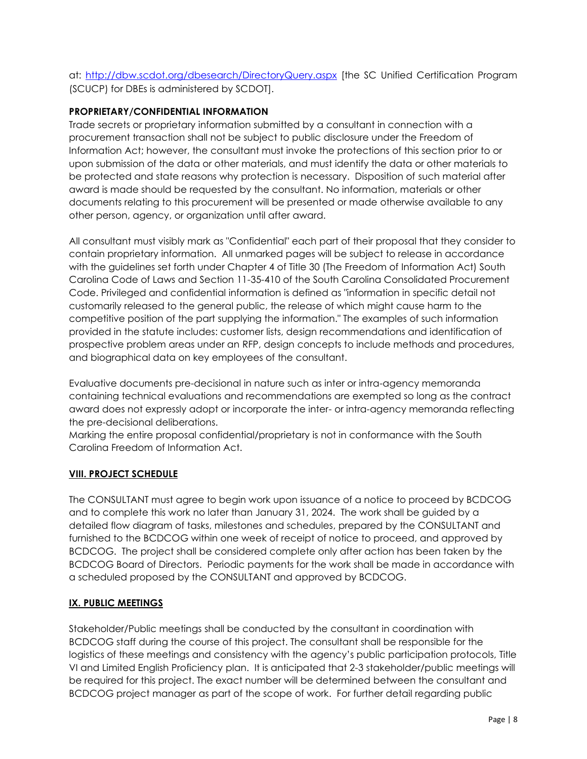at:<http://dbw.scdot.org/dbesearch/DirectoryQuery.aspx> [the SC Unified Certification Program (SCUCP) for DBEs is administered by SCDOT].

## **PROPRIETARY/CONFIDENTIAL INFORMATION**

Trade secrets or proprietary information submitted by a consultant in connection with a procurement transaction shall not be subject to public disclosure under the Freedom of Information Act; however, the consultant must invoke the protections of this section prior to or upon submission of the data or other materials, and must identify the data or other materials to be protected and state reasons why protection is necessary. Disposition of such material after award is made should be requested by the consultant. No information, materials or other documents relating to this procurement will be presented or made otherwise available to any other person, agency, or organization until after award.

All consultant must visibly mark as "Confidential" each part of their proposal that they consider to contain proprietary information. All unmarked pages will be subject to release in accordance with the guidelines set forth under Chapter 4 of Title 30 (The Freedom of Information Act) South Carolina Code of Laws and Section 11-35-410 of the South Carolina Consolidated Procurement Code. Privileged and confidential information is defined as "information in specific detail not customarily released to the general public, the release of which might cause harm to the competitive position of the part supplying the information." The examples of such information provided in the statute includes: customer lists, design recommendations and identification of prospective problem areas under an RFP, design concepts to include methods and procedures, and biographical data on key employees of the consultant.

Evaluative documents pre-decisional in nature such as inter or intra-agency memoranda containing technical evaluations and recommendations are exempted so long as the contract award does not expressly adopt or incorporate the inter- or intra-agency memoranda reflecting the pre-decisional deliberations.

Marking the entire proposal confidential/proprietary is not in conformance with the South Carolina Freedom of Information Act.

#### **VIII. PROJECT SCHEDULE**

The CONSULTANT must agree to begin work upon issuance of a notice to proceed by BCDCOG and to complete this work no later than January 31, 2024. The work shall be guided by a detailed flow diagram of tasks, milestones and schedules, prepared by the CONSULTANT and furnished to the BCDCOG within one week of receipt of notice to proceed, and approved by BCDCOG. The project shall be considered complete only after action has been taken by the BCDCOG Board of Directors. Periodic payments for the work shall be made in accordance with a scheduled proposed by the CONSULTANT and approved by BCDCOG.

#### **IX. PUBLIC MEETINGS**

Stakeholder/Public meetings shall be conducted by the consultant in coordination with BCDCOG staff during the course of this project. The consultant shall be responsible for the logistics of these meetings and consistency with the agency's public participation protocols, Title VI and Limited English Proficiency plan. It is anticipated that 2-3 stakeholder/public meetings will be required for this project. The exact number will be determined between the consultant and BCDCOG project manager as part of the scope of work. For further detail regarding public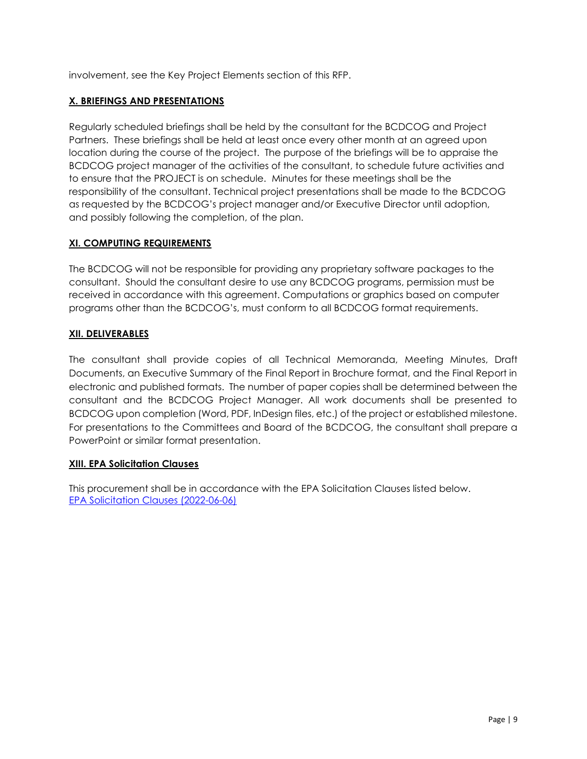involvement, see the Key Project Elements section of this RFP.

## **X. BRIEFINGS AND PRESENTATIONS**

Regularly scheduled briefings shall be held by the consultant for the BCDCOG and Project Partners. These briefings shall be held at least once every other month at an agreed upon location during the course of the project. The purpose of the briefings will be to appraise the BCDCOG project manager of the activities of the consultant, to schedule future activities and to ensure that the PROJECT is on schedule. Minutes for these meetings shall be the responsibility of the consultant. Technical project presentations shall be made to the BCDCOG as requested by the BCDCOG's project manager and/or Executive Director until adoption, and possibly following the completion, of the plan.

### **XI. COMPUTING REQUIREMENTS**

The BCDCOG will not be responsible for providing any proprietary software packages to the consultant. Should the consultant desire to use any BCDCOG programs, permission must be received in accordance with this agreement. Computations or graphics based on computer programs other than the BCDCOG's, must conform to all BCDCOG format requirements.

### **XII. DELIVERABLES**

The consultant shall provide copies of all Technical Memoranda, Meeting Minutes, Draft Documents, an Executive Summary of the Final Report in Brochure format, and the Final Report in electronic and published formats. The number of paper copies shall be determined between the consultant and the BCDCOG Project Manager. All work documents shall be presented to BCDCOG upon completion (Word, PDF, InDesign files, etc.) of the project or established milestone. For presentations to the Committees and Board of the BCDCOG, the consultant shall prepare a PowerPoint or similar format presentation.

#### **XIII. EPA Solicitation Clauses**

This procurement shall be in accordance with the EPA Solicitation Clauses listed below. [EPA Solicitation Clauses \(2022-06-06\)](https://www.epa.gov/system/files/documents/2022-06/external-clauses-2022-06-06.pdf)